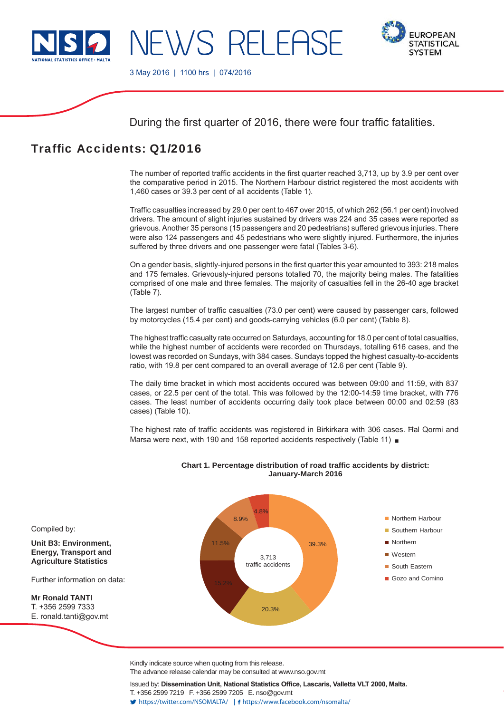

-WS RFI FAS



3 May 2016 | 1100 hrs | 074/2016

During the first quarter of 2016, there were four traffic fatalities.

# Traffic Accidents: Q1/2016

The number of reported traffic accidents in the first quarter reached 3.713, up by 3.9 per cent over the comparative period in 2015. The Northern Harbour district registered the most accidents with 1,460 cases or 39.3 per cent of all accidents (Table 1).

Traffic casualties increased by 29.0 per cent to 467 over 2015, of which 262 (56.1 per cent) involved drivers. The amount of slight injuries sustained by drivers was 224 and 35 cases were reported as grievous. Another 35 persons (15 passengers and 20 pedestrians) suffered grievous injuries. There were also 124 passengers and 45 pedestrians who were slightly injured. Furthermore, the injuries suffered by three drivers and one passenger were fatal (Tables 3-6).

On a gender basis, slightly-injured persons in the first quarter this year amounted to 393: 218 males and 175 females. Grievously-injured persons totalled 70, the majority being males. The fatalities comprised of one male and three females. The majority of casualties fell in the 26-40 age bracket (Table 7).

The largest number of traffic casualties (73.0 per cent) were caused by passenger cars, followed by motorcycles (15.4 per cent) and goods-carrying vehicles (6.0 per cent) (Table 8).

The highest traffic casualty rate occurred on Saturdays, accounting for 18.0 per cent of total casualties, while the highest number of accidents were recorded on Thursdays, totalling 616 cases, and the lowest was recorded on Sundays, with 384 cases. Sundays topped the highest casualty-to-accidents ratio, with 19.8 per cent compared to an overall average of 12.6 per cent (Table 9).

The daily time bracket in which most accidents occured was between 09:00 and 11:59, with 837 cases, or 22.5 per cent of the total. This was followed by the 12:00-14:59 time bracket, with 776 cases. The least number of accidents occurring daily took place between 00:00 and 02:59 (83 cases) (Table 10).

The highest rate of traffic accidents was registered in Birkirkara with 306 cases. Hal Qormi and Marsa were next, with 190 and 158 reported accidents respectively (Table 11)



### **Chart 1. Percentage distribution of road traffic accidents by district: January-March 2016**

Kindly indicate source when quoting from this release.

The advance release calendar may be consulted at www.nso.gov.mt

Issued by: Dissemination Unit, National Statistics Office, Lascaris, Valletta VLT 2000, Malta. T. +356 2599 7219 F. +356 2599 7205 E. nso@gov.mt https://twitter.com/NSOMALTA/ https://www.facebook.com/nsomalta/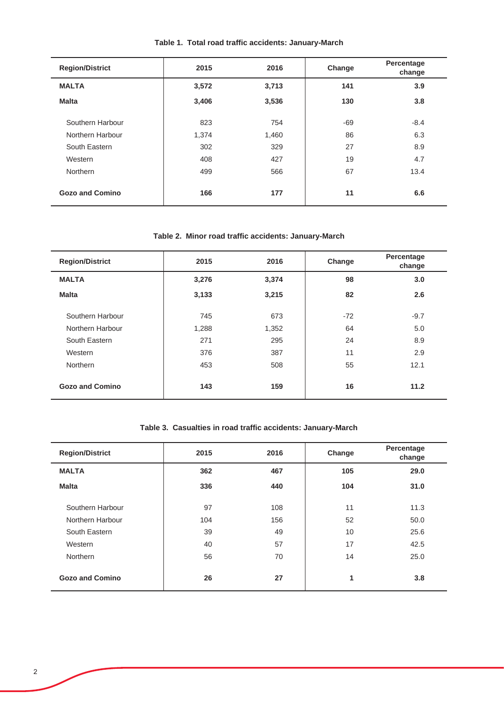| <b>Region/District</b> | 2015  | 2016  | Change | Percentage<br>change |
|------------------------|-------|-------|--------|----------------------|
| <b>MALTA</b>           | 3,572 | 3,713 | 141    | 3.9                  |
| <b>Malta</b>           | 3,406 | 3,536 | 130    | 3.8                  |
| Southern Harbour       | 823   | 754   | $-69$  | $-8.4$               |
| Northern Harbour       | 1,374 | 1,460 | 86     | 6.3                  |
| South Eastern          | 302   | 329   | 27     | 8.9                  |
| Western                | 408   | 427   | 19     | 4.7                  |
| <b>Northern</b>        | 499   | 566   | 67     | 13.4                 |
| <b>Gozo and Comino</b> | 166   | 177   | 11     | 6.6                  |

# **Table 1. Total road traffic accidents: January-March**

## **Table 2. Minor road traffic accidents: January-March**

| <b>Region/District</b> | 2015  | 2016  | Change | Percentage<br>change |
|------------------------|-------|-------|--------|----------------------|
| <b>MALTA</b>           | 3,276 | 3,374 | 98     | 3.0                  |
| <b>Malta</b>           | 3,133 | 3,215 | 82     | 2.6                  |
| Southern Harbour       | 745   | 673   | $-72$  | $-9.7$               |
| Northern Harbour       | 1,288 | 1,352 | 64     | 5.0                  |
| South Eastern          | 271   | 295   | 24     | 8.9                  |
| Western                | 376   | 387   | 11     | 2.9                  |
| Northern               | 453   | 508   | 55     | 12.1                 |
| <b>Gozo and Comino</b> | 143   | 159   | 16     | 11.2                 |

# **Table 3. Casualties in road traffic accidents: January-March**

| <b>Region/District</b> | 2015 | 2016 | Change | Percentage<br>change |
|------------------------|------|------|--------|----------------------|
| <b>MALTA</b>           | 362  | 467  | 105    | 29.0                 |
| <b>Malta</b>           | 336  | 440  | 104    | 31.0                 |
| Southern Harbour       | 97   | 108  | 11     | 11.3                 |
| Northern Harbour       | 104  | 156  | 52     | 50.0                 |
| South Eastern          | 39   | 49   | 10     | 25.6                 |
| Western                | 40   | 57   | 17     | 42.5                 |
| <b>Northern</b>        | 56   | 70   | 14     | 25.0                 |
| Gozo and Comino        | 26   | 27   | 1      | 3.8                  |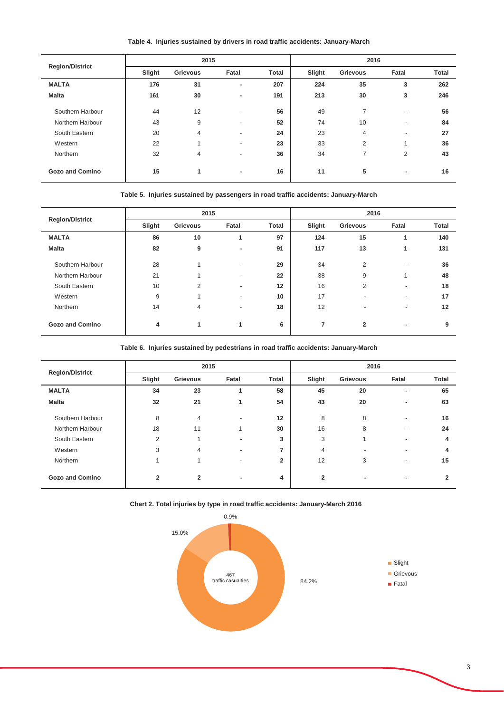**Table 4. Injuries sustained by drivers in road traffic accidents: January-March**

j.

 $\overline{a}$ 

j.

|                        | 2015   |                 |                          |              | 2016   |                 |                          |              |
|------------------------|--------|-----------------|--------------------------|--------------|--------|-----------------|--------------------------|--------------|
| <b>Region/District</b> | Slight | <b>Grievous</b> | Fatal                    | <b>Total</b> | Slight | <b>Grievous</b> | Fatal                    | <b>Total</b> |
| <b>MALTA</b>           | 176    | 31              |                          | 207          | 224    | 35              | 3                        | 262          |
| <b>Malta</b>           | 161    | 30              | ٠                        | 191          | 213    | 30              | 3                        | 246          |
| Southern Harbour       | 44     | 12              | ٠                        | 56           | 49     | $\overline{7}$  | $\overline{\phantom{a}}$ | 56           |
| Northern Harbour       | 43     | 9               | ٠                        | 52           | 74     | 10              |                          | 84           |
| South Eastern          | 20     | 4               | $\overline{\phantom{a}}$ | 24           | 23     | 4               | $\overline{\phantom{a}}$ | 27           |
| Western                | 22     |                 | $\overline{\phantom{a}}$ | 23           | 33     | $\overline{2}$  | 1                        | 36           |
| Northern               | 32     | 4               | ۰                        | 36           | 34     | 7               | 2                        | 43           |
| <b>Gozo and Comino</b> | 15     | 1               | ٠                        | 16           | 11     | 5               | ٠                        | 16           |

#### **Table 5. Injuries sustained by passengers in road traffic accidents: January-March**

| <b>Region/District</b> |        | 2015            |                          |              |                | 2016                         |                          |              |  |
|------------------------|--------|-----------------|--------------------------|--------------|----------------|------------------------------|--------------------------|--------------|--|
|                        | Slight | <b>Grievous</b> | Fatal                    | <b>Total</b> | Slight         | <b>Grievous</b>              | Fatal                    | <b>Total</b> |  |
| <b>MALTA</b>           | 86     | 10              |                          | 97           | 124            | 15                           |                          | 140          |  |
| <b>Malta</b>           | 82     | 9               | ٠                        | 91           | 117            | 13                           | 1                        | 131          |  |
| Southern Harbour       | 28     | и               | $\overline{\phantom{a}}$ | 29           | 34             | $\overline{2}$               | $\overline{\phantom{a}}$ | 36           |  |
| Northern Harbour       | 21     |                 | ٠                        | 22           | 38             | 9                            | 1                        | 48           |  |
| South Eastern          | 10     | $\overline{2}$  | $\overline{\phantom{a}}$ | 12           | 16             | $\overline{2}$               |                          | 18           |  |
| Western                | 9      |                 | $\overline{\phantom{a}}$ | 10           | 17             | $\overline{\phantom{a}}$     |                          | 17           |  |
| Northern               | 14     | $\overline{4}$  | $\blacksquare$           | 18           | 12             | $\qquad \qquad \blacksquare$ |                          | 12           |  |
| <b>Gozo and Comino</b> | 4      | 1               | 1                        | 6            | $\overline{7}$ | $\overline{2}$               | ۰                        | 9            |  |

**Table 6. Injuries sustained by pedestrians in road traffic accidents: January-March**

|                        |                | 2015           |                          |                |                | 2016                     |                          |              |
|------------------------|----------------|----------------|--------------------------|----------------|----------------|--------------------------|--------------------------|--------------|
| <b>Region/District</b> | Slight         | Grievous       | Fatal                    | <b>Total</b>   | Slight         | Grievous                 | Fatal                    | <b>Total</b> |
| <b>MALTA</b>           | 34             | 23             |                          | 58             | 45             | 20                       | ۰                        | 65           |
| <b>Malta</b>           | 32             | 21             | 1                        | 54             | 43             | 20                       | ۰                        | 63           |
| Southern Harbour       | 8              | $\overline{4}$ | ٠                        | 12             | 8              | 8                        | $\overline{\phantom{a}}$ | 16           |
| Northern Harbour       | 18             | 11             |                          | 30             | 16             | 8                        | $\overline{\phantom{a}}$ | 24           |
| South Eastern          | 2              |                | $\overline{\phantom{a}}$ | 3              | 3              |                          | $\overline{a}$           | 4            |
| Western                | 3              | 4              | $\overline{\phantom{a}}$ | $\overline{ }$ | 4              | $\overline{\phantom{a}}$ | $\overline{a}$           | 4            |
| Northern               |                |                |                          | $\overline{2}$ | 12             | 3                        | $\overline{\phantom{a}}$ | 15           |
| <b>Gozo and Comino</b> | $\overline{2}$ | $\overline{2}$ | ۰                        | 4              | $\overline{2}$ | ٠                        | ۰                        | 2            |

**Chart 2. Total injuries by type in road traffic accidents: January-March 2016** 

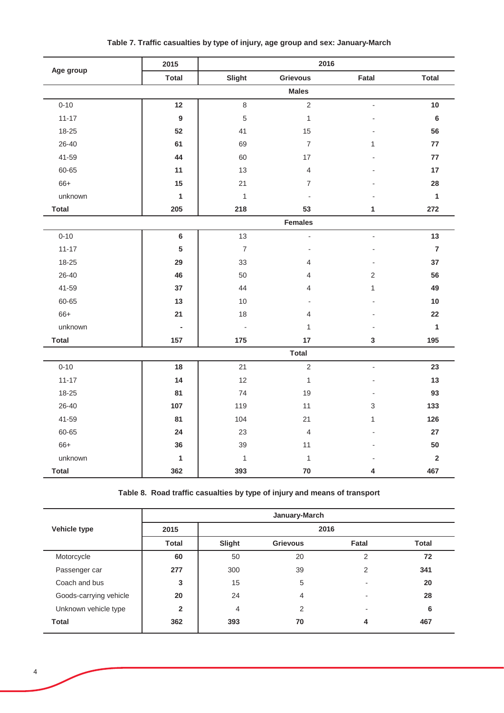|              | 2015            |                          | 2016                     |                          |                |
|--------------|-----------------|--------------------------|--------------------------|--------------------------|----------------|
| Age group    | <b>Total</b>    | Slight                   | <b>Grievous</b>          | Fatal                    | <b>Total</b>   |
|              |                 |                          | <b>Males</b>             |                          |                |
| $0 - 10$     | 12              | 8                        | $\overline{2}$           |                          | 10             |
| $11 - 17$    | $9\,$           | 5                        | $\mathbf{1}$             |                          | $\bf 6$        |
| 18-25        | 52              | 41                       | 15                       |                          | 56             |
| 26-40        | 61              | 69                       | $\overline{7}$           | 1                        | 77             |
| 41-59        | 44              | 60                       | 17                       |                          | 77             |
| 60-65        | 11              | 13                       | $\overline{\mathcal{L}}$ |                          | 17             |
| 66+          | 15              | 21                       | $\overline{7}$           |                          | 28             |
| unknown      | $\mathbf{1}$    | $\mathbf{1}$             |                          |                          | $\mathbf{1}$   |
| <b>Total</b> | 205             | 218                      | 53                       | 1                        | 272            |
|              |                 |                          | <b>Females</b>           |                          |                |
| $0 - 10$     | $\bf 6$         | 13                       | $\blacksquare$           | $\overline{\phantom{a}}$ | 13             |
| $11 - 17$    | $5\phantom{.0}$ | $\overline{7}$           |                          |                          | $\overline{7}$ |
| 18-25        | 29              | 33                       | 4                        |                          | 37             |
| 26-40        | 46              | 50                       | 4                        | $\overline{2}$           | 56             |
| 41-59        | 37              | 44                       | $\overline{4}$           | 1                        | 49             |
| 60-65        | 13              | 10                       | $\overline{a}$           |                          | 10             |
| 66+          | 21              | 18                       | $\overline{4}$           |                          | 22             |
| unknown      | $\blacksquare$  | $\overline{\phantom{a}}$ | 1                        |                          | $\mathbf{1}$   |
| <b>Total</b> | 157             | 175                      | 17                       | $\mathbf{3}$             | 195            |
|              |                 |                          | <b>Total</b>             |                          |                |
| $0 - 10$     | 18              | 21                       | $\mathbf 2$              | $\overline{a}$           | 23             |
| $11 - 17$    | 14              | 12                       | $\mathbf{1}$             |                          | 13             |
| 18-25        | 81              | 74                       | 19                       |                          | 93             |
| 26-40        | 107             | 119                      | 11                       | 3                        | 133            |
| 41-59        | 81              | 104                      | 21                       | 1                        | 126            |
| 60-65        | 24              | 23                       | $\overline{\mathcal{L}}$ |                          | 27             |
| 66+          | 36              | 39                       | 11                       |                          | 50             |
| unknown      | $\mathbf{1}$    | $\mathbf{1}$             | $\mathbf 1$              |                          | $\mathbf 2$    |
| <b>Total</b> | 362             | 393                      | $\bf 70$                 | 4                        | 467            |

# **Table 7. Traffic casualties by type of injury, age group and sex: January-March**

**Table 8. Road traffic casualties by type of injury and means of transport**

|                        | January-March  |        |                 |                          |              |  |  |  |
|------------------------|----------------|--------|-----------------|--------------------------|--------------|--|--|--|
| <b>Vehicle type</b>    | 2015           | 2016   |                 |                          |              |  |  |  |
|                        | Total          | Slight | <b>Grievous</b> | Fatal                    | <b>Total</b> |  |  |  |
| Motorcycle             | 60             | 50     | 20              | 2                        | 72           |  |  |  |
| Passenger car          | 277            | 300    | 39              | 2                        | 341          |  |  |  |
| Coach and bus          | 3              | 15     | 5               |                          | 20           |  |  |  |
| Goods-carrying vehicle | 20             | 24     | 4               | $\overline{\phantom{0}}$ | 28           |  |  |  |
| Unknown vehicle type   | $\overline{2}$ | 4      | 2               |                          | 6            |  |  |  |
| <b>Total</b>           | 362            | 393    | 70              | 4                        | 467          |  |  |  |
|                        |                |        |                 |                          |              |  |  |  |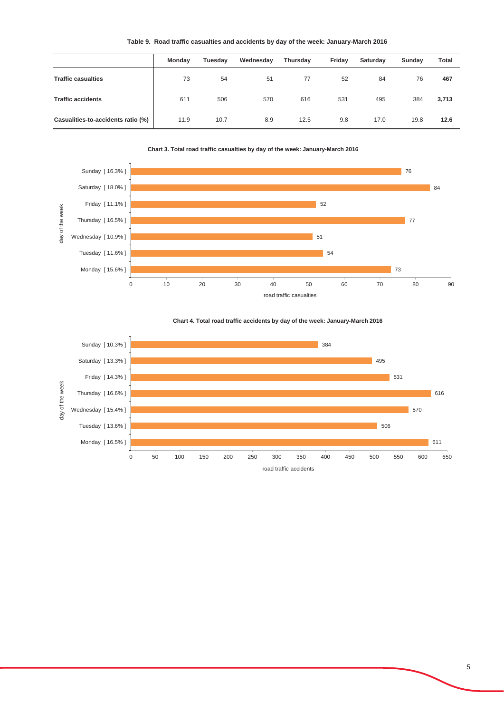|  |  |  |  |  |  | Table 9. Road traffic casualties and accidents by day of the week: January-March 2016 |  |
|--|--|--|--|--|--|---------------------------------------------------------------------------------------|--|
|--|--|--|--|--|--|---------------------------------------------------------------------------------------|--|

|                                    | Monday | Tuesday | Wednesday | Thursday | Friday | Saturday | Sunday | <b>Total</b> |
|------------------------------------|--------|---------|-----------|----------|--------|----------|--------|--------------|
| <b>Traffic casualties</b>          | 73     | 54      | 51        | 77       | 52     | 84       | 76     | 467          |
| <b>Traffic accidents</b>           | 611    | 506     | 570       | 616      | 531    | 495      | 384    | 3,713        |
| Casualities-to-accidents ratio (%) | 11.9   | 10.7    | 8.9       | 12.5     | 9.8    | 17.0     | 19.8   | 12.6         |





![](_page_4_Figure_4.jpeg)

![](_page_4_Figure_5.jpeg)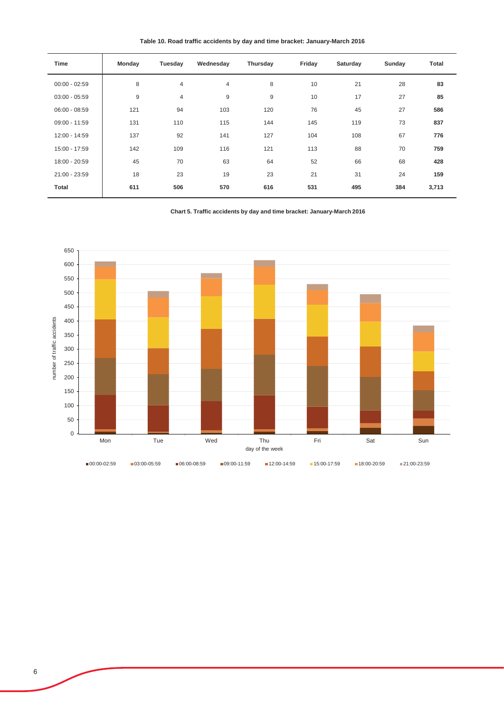**Table 10. Road traffic accidents by day and time bracket: January-March 2016**

| Monday | Tuesday        | Wednesday | Thursday | Friday | Saturday | Sunday | <b>Total</b> |
|--------|----------------|-----------|----------|--------|----------|--------|--------------|
| 8      | $\overline{4}$ | 4         | 8        | 10     | 21       | 28     | 83           |
| $9\,$  | $\overline{4}$ | 9         | 9        | 10     | 17       | 27     | 85           |
| 121    | 94             | 103       | 120      | 76     | 45       | 27     | 586          |
| 131    | 110            | 115       | 144      | 145    | 119      | 73     | 837          |
| 137    | 92             | 141       | 127      | 104    | 108      | 67     | 776          |
| 142    | 109            | 116       | 121      | 113    | 88       | 70     | 759          |
| 45     | 70             | 63        | 64       | 52     | 66       | 68     | 428          |
| 18     | 23             | 19        | 23       | 21     | 31       | 24     | 159          |
| 611    | 506            | 570       | 616      | 531    | 495      | 384    | 3,713        |
|        |                |           |          |        |          |        |              |

**Chart 5. Traffic accidents by day and time bracket: January-March 2016** 

![](_page_5_Figure_3.jpeg)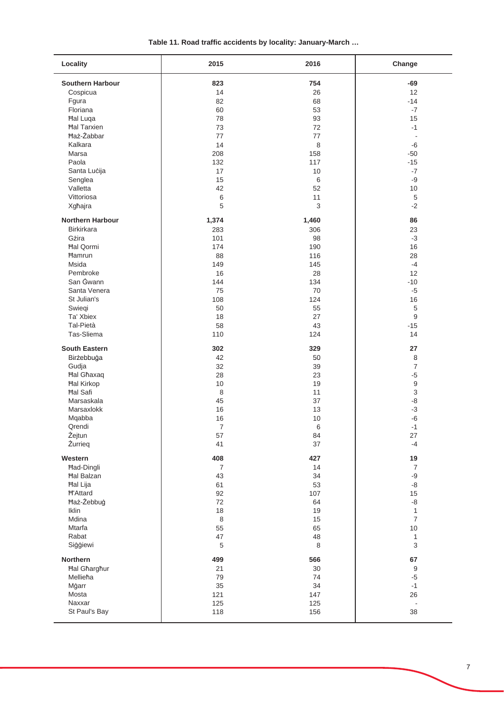| Table 11. Road traffic accidents by locality: January-March |  |  |
|-------------------------------------------------------------|--|--|
|-------------------------------------------------------------|--|--|

| Locality                | 2015           | 2016     | Change                    |
|-------------------------|----------------|----------|---------------------------|
| <b>Southern Harbour</b> | 823            | 754      | $-69$                     |
| Cospicua                | 14             | 26       | 12                        |
| Fgura                   | 82             | 68       | $-14$                     |
| Floriana                | 60             | 53       | $-7$                      |
| Hal Luqa                | 78             | 93       | 15                        |
| <b>Hal Tarxien</b>      | 73             | 72       | $-1$                      |
| <b>Ħaż-Żabbar</b>       | 77             | 77       | $\blacksquare$            |
| Kalkara                 | 14             | 8        | -6                        |
| Marsa                   | 208            | 158      | $-50$                     |
| Paola                   | 132            | 117      | $-15$                     |
| Santa Lucija            | 17             | 10       | $-7$                      |
|                         | 15             | 6        | $-9$                      |
| Senglea<br>Valletta     | 42             | 52       | 10                        |
|                         |                |          |                           |
| Vittoriosa              | 6              | 11       | $\,$ 5 $\,$               |
| Xgħajra                 | 5              | 3        | $-2$                      |
| <b>Northern Harbour</b> | 1,374          | 1,460    | 86                        |
| <b>Birkirkara</b>       | 283            | 306      | 23                        |
| Gżira                   | 101            | 98       | $-3$                      |
| <b>Hal Qormi</b>        | 174            | 190      | 16                        |
| <b>Hamrun</b>           | 88             | 116      | 28                        |
| <b>Msida</b>            | 149            | 145      | $-4$                      |
| Pembroke                | 16             | 28       | 12                        |
| San Gwann               | 144            | 134      | $-10$                     |
| Santa Venera            | 75             | 70       | $-5$                      |
| St Julian's             | 108            | 124      | 16                        |
| Swieqi                  | 50             | 55       | $\sqrt{5}$                |
| Ta' Xbiex               | 18             | 27       | $\boldsymbol{9}$          |
| Tal-Pietà               | 58             | 43       | $-15$                     |
| Tas-Sliema              | 110            | 124      | 14                        |
| <b>South Eastern</b>    | 302            | 329      | 27                        |
| Birżebbuġa              | 42             | 50       | 8                         |
| Gudja                   | 32             | 39       | $\overline{7}$            |
| <b>Hal Ghaxaq</b>       | 28             | 23       | -5                        |
| <b>Hal Kirkop</b>       | 10             | 19       | $\boldsymbol{9}$          |
| <b>Hal Safi</b>         | $\,8\,$        | 11       | $\ensuremath{\mathsf{3}}$ |
| Marsaskala              | 45             | 37       | -8                        |
| Marsaxlokk              | 16             | 13       | $-3$                      |
| Mqabba                  | 16             | 10       | -6                        |
| Qrendi                  | $\overline{7}$ | 6        | $-1$                      |
|                         |                |          |                           |
| Zejtun<br>Żurrieg       | 57<br>41       | 84<br>37 | 27<br>$-4$                |
|                         |                |          |                           |
| Western                 | 408            | 427      | $19$                      |
| Had-Dingli              | $\overline{7}$ | 14       | $\boldsymbol{7}$          |
| <b>Hal Balzan</b>       | 43             | 34       | $-9$                      |
| Hal Lija                | 61             | 53       | -8                        |
| <b>H'Attard</b>         | 92             | 107      | 15                        |
| Haż-Żebbuġ              | 72             | 64       | -8                        |
| Iklin                   | 18             | 19       | $\mathbf{1}$              |
| Mdina                   | $\,8\,$        | 15       | $\boldsymbol{7}$          |
| Mtarfa                  | 55             | 65       | $10$                      |
| Rabat                   | 47             | 48       | $\mathbf{1}$              |
| Siģģiewi                | $\,$ 5 $\,$    | 8        | $\mathsf 3$               |
| Northern                | 499            | 566      | 67                        |
| <b>Hal Gharghur</b>     | 21             | 30       | $\boldsymbol{9}$          |
| Mellieħa                | 79             | 74       | $-5$                      |
| Mġarr                   | 35             | 34       | $-1$                      |
| Mosta                   | 121            | 147      | 26                        |
| Naxxar                  | 125            | 125      | $\blacksquare$            |
| St Paul's Bay           | 118            | 156      | 38                        |
|                         |                |          |                           |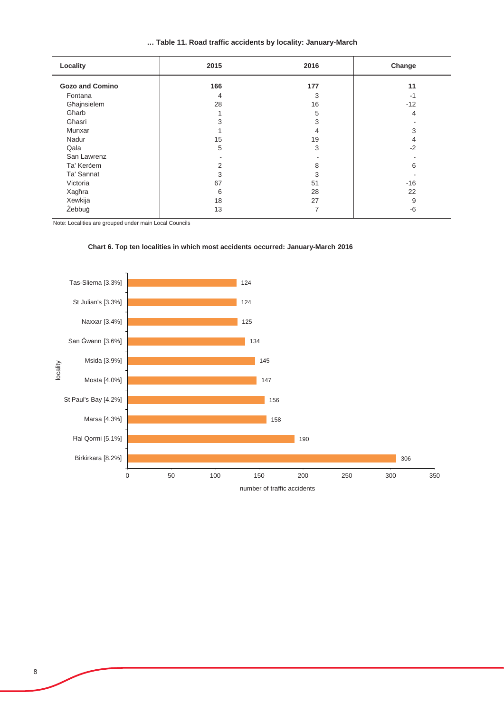| Table 11. Road traffic accidents by locality: January-March |  |  |
|-------------------------------------------------------------|--|--|
|-------------------------------------------------------------|--|--|

| Locality               | 2015 | 2016 | Change |
|------------------------|------|------|--------|
| <b>Gozo and Comino</b> | 166  | 177  | 11     |
| Fontana                | 4    | 3    | -1     |
| Għajnsielem            | 28   | 16   | $-12$  |
| Għarb                  |      | 5    | 4      |
| Għasri                 |      | 3    |        |
| Munxar                 |      | 4    | 3      |
| Nadur                  | 15   | 19   | 4      |
| Qala                   | 5    | 3    | $-2$   |
| San Lawrenz            |      |      |        |
| Ta' Kercem             | 2    | 8    | 6      |
| Ta' Sannat             | 3    | 3    |        |
| Victoria               | 67   | 51   | $-16$  |
| Xagħra                 | 6    | 28   | 22     |
| Xewkija                | 18   | 27   | 9      |
| Żebbuġ                 | 13   | 7    | -6     |

Note: Localities are grouped under main Local Councils

![](_page_7_Figure_3.jpeg)

#### **Chart 6. Top ten localities in which most accidents occurred: January-March 2016**